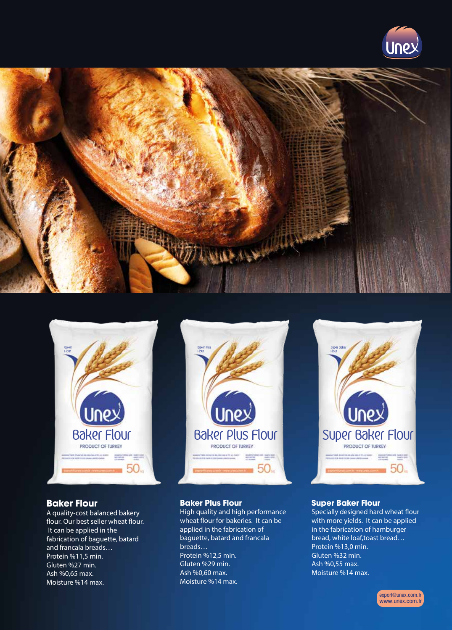





#### **Baker Flour**

A quality-cost balanced bakery flour. Our best seller wheat flour. It can be applied in the fabrication of baguette, batard and francala breads… Protein %11,5 min. Gluten %27 min. Ash %0,65 max. Moisture %14 max.



#### **Baker Plus Flour**

Baker Plus Flour

High quality and high performance wheat flour for bakeries. It can be applied in the fabrication of baguette, batard and francala breads… Protein %12,5 min. Gluten %29 min. Ash %0,60 max. Moisture %14 max.



#### **Super Baker Flour**

Specially designed hard wheat flour with more yields. It can be applied in the fabrication of hamburger bread, white loaf,toast bread… Protein %13,0 min. Gluten %32 min. Ash %0,55 max. Moisture %14 max.

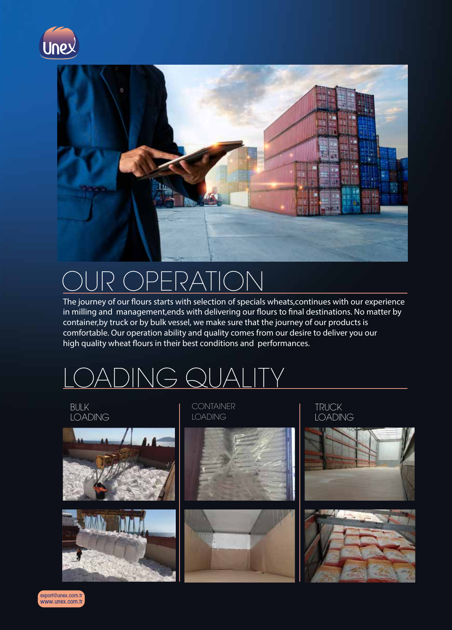



#### $\bigcap$  ID  $\bigcap$ WUIT ' OPERATION

The journey of our flours starts with selection of specials wheats,continues with our experience inc journey or our nours starts with sciection or specials witcats, continues with our experience<br>in milling and management, ends with delivering our flours to final destinations. No matter by miniming and management, ends with denvering our nours to mial destinations. No is experience. We strongly comfortable. Our operation ability and quality comes from our desire to deliver you our believe that our owner.<br>believe that our owner high quality wheat flours in their best conditions and performances.

### partners. DING QUA



www.unex.com.tr export@unex.com.tr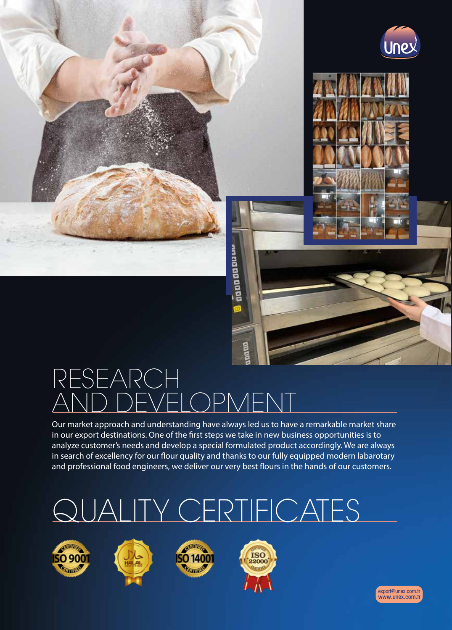

## RESEARCH AND DEVELOPMENT

Our market approach and understanding have always led us to have a remarkable market share in our export destinations. One of the first steps we take in new business opportunities is to analyze customer's needs and develop a special formulated product accordingly. We are always in search of excellency for our flour quality and thanks to our fully equipped modern labarotary and professional food engineers, we deliver our very best flours in the hands of our customers.

ត្តធ្ថាធធធធធធ

# QUALITY CERTIFICATES